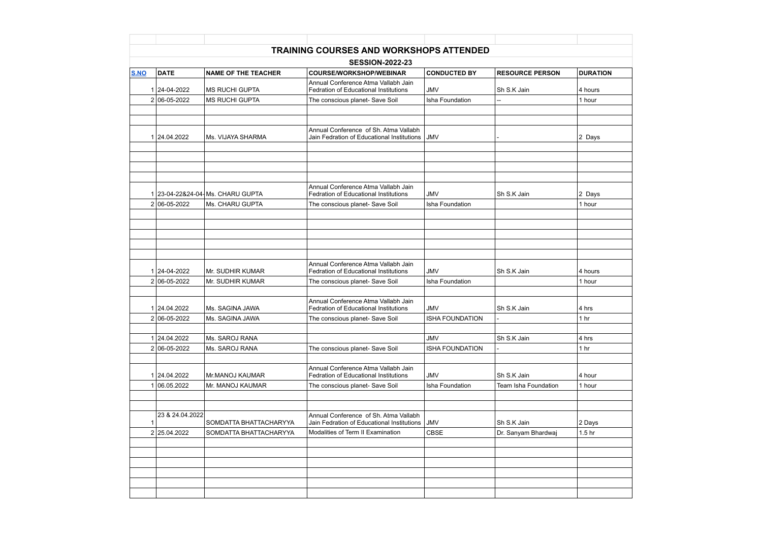| <b>SESSION-2022-23</b> |                              |                                                   |                                                                                                                        |                                      |                                     |                          |  |  |  |  |
|------------------------|------------------------------|---------------------------------------------------|------------------------------------------------------------------------------------------------------------------------|--------------------------------------|-------------------------------------|--------------------------|--|--|--|--|
| <b>S.NO</b>            | <b>DATE</b>                  | <b>NAME OF THE TEACHER</b>                        | <b>COURSE/WORKSHOP/WEBINAR</b>                                                                                         | <b>CONDUCTED BY</b>                  | <b>RESOURCE PERSON</b>              | <b>DURATION</b>          |  |  |  |  |
|                        | 1 24-04-2022                 | <b>MS RUCHI GUPTA</b>                             | Annual Conference Atma Vallabh Jain<br><b>Fedration of Educational Institutions</b>                                    | <b>JMV</b>                           | Sh S.K Jain                         | 4 hours                  |  |  |  |  |
|                        | 2 06-05-2022                 | <b>MS RUCHI GUPTA</b>                             | The conscious planet- Save Soil                                                                                        | Isha Foundation                      |                                     | 1 hour                   |  |  |  |  |
|                        | 1 24.04.2022                 | Ms. VIJAYA SHARMA                                 | Annual Conference of Sh. Atma Vallabh<br>Jain Fedration of Educational Institutions JJMV                               |                                      |                                     | 2 Days                   |  |  |  |  |
|                        |                              |                                                   | Annual Conference Atma Vallabh Jain                                                                                    |                                      |                                     |                          |  |  |  |  |
|                        | 2 06-05-2022                 | 23-04-22&24-04-Ms. CHARU GUPTA<br>Ms. CHARU GUPTA | <b>Fedration of Educational Institutions</b><br>The conscious planet- Save Soil                                        | <b>JMV</b><br>Isha Foundation        | Sh S.K Jain                         | 2 Days<br>1 hour         |  |  |  |  |
|                        |                              |                                                   |                                                                                                                        |                                      |                                     |                          |  |  |  |  |
|                        |                              |                                                   | Annual Conference Atma Vallabh Jain                                                                                    |                                      |                                     |                          |  |  |  |  |
|                        | 1 24-04-2022<br>2 06-05-2022 | Mr. SUDHIR KUMAR<br>Mr. SUDHIR KUMAR              | <b>Fedration of Educational Institutions</b><br>The conscious planet- Save Soil                                        | <b>JMV</b><br>Isha Foundation        | Sh S.K Jain                         | 4 hours<br>1 hour        |  |  |  |  |
|                        | 1 24.04.2022<br>2 06-05-2022 | Ms. SAGINA JAWA<br>Ms. SAGINA JAWA                | Annual Conference Atma Vallabh Jain<br><b>Fedration of Educational Institutions</b><br>The conscious planet- Save Soil | <b>JMV</b><br><b>ISHA FOUNDATION</b> | Sh S.K Jain                         | 4 hrs<br>1 <sub>hr</sub> |  |  |  |  |
|                        | 24.04.2022                   | Ms. SAROJ RANA                                    |                                                                                                                        | <b>JMV</b>                           | Sh S.K Jain                         | 4 hrs                    |  |  |  |  |
|                        | 2 06-05-2022                 | Ms. SAROJ RANA                                    | The conscious planet- Save Soil                                                                                        | <b>ISHA FOUNDATION</b>               |                                     | 1 <sub>hr</sub>          |  |  |  |  |
|                        | 1 24.04.2022<br>06.05.2022   | Mr.MANOJ KAUMAR<br>Mr. MANOJ KAUMAR               | Annual Conference Atma Vallabh Jain<br><b>Fedration of Educational Institutions</b><br>The conscious planet- Save Soil | <b>JMV</b><br>Isha Foundation        | Sh S.K Jain<br>Team Isha Foundation | 4 hour<br>1 hour         |  |  |  |  |
|                        | 23 & 24.04.2022              | SOMDATTA BHATTACHARYYA                            | Annual Conference of Sh. Atma Vallabh<br>Jain Fedration of Educational Institutions                                    | <b>JMV</b>                           | Sh S.K Jain                         | 2 Days                   |  |  |  |  |
|                        | 2 25.04.2022                 | SOMDATTA BHATTACHARYYA                            | Modalities of Term II Examination                                                                                      | <b>CBSE</b>                          | Dr. Sanyam Bhardwaj                 | 1.5 <sub>hr</sub>        |  |  |  |  |
|                        |                              |                                                   |                                                                                                                        |                                      |                                     |                          |  |  |  |  |
|                        |                              |                                                   |                                                                                                                        |                                      |                                     |                          |  |  |  |  |
|                        |                              |                                                   |                                                                                                                        |                                      |                                     |                          |  |  |  |  |
|                        |                              |                                                   |                                                                                                                        |                                      |                                     |                          |  |  |  |  |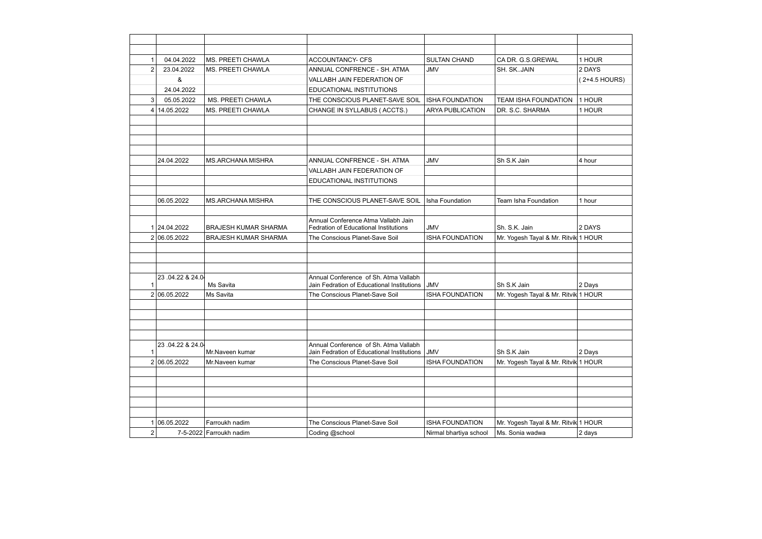|   | 04.04.2022      | MS. PREETI CHAWLA           | <b>ACCOUNTANCY- CFS</b>                                                             | <b>SULTAN CHAND</b>     | CA DR. G.S.GREWAL                    | 1 HOUR        |
|---|-----------------|-----------------------------|-------------------------------------------------------------------------------------|-------------------------|--------------------------------------|---------------|
| 2 | 23.04.2022      | MS. PREETI CHAWLA           | ANNUAL CONFRENCE - SH. ATMA                                                         | <b>JMV</b>              | SH. SKJAIN                           | 2 DAYS        |
|   | &               |                             | <b>VALLABH JAIN FEDERATION OF</b>                                                   |                         |                                      | (2+4.5 HOURS) |
|   | 24.04.2022      |                             | <b>EDUCATIONAL INSTITUTIONS</b>                                                     |                         |                                      |               |
| 3 | 05.05.2022      | <b>MS. PREETI CHAWLA</b>    | THE CONSCIOUS PLANET-SAVE SOIL                                                      | <b>ISHA FOUNDATION</b>  | <b>TEAM ISHA FOUNDATION</b>          | 1 HOUR        |
| 4 | 14.05.2022      | MS. PREETI CHAWLA           | CHANGE IN SYLLABUS (ACCTS.)                                                         | <b>ARYA PUBLICATION</b> | DR. S.C. SHARMA                      | 1 HOUR        |
|   |                 |                             |                                                                                     |                         |                                      |               |
|   |                 |                             |                                                                                     |                         |                                      |               |
|   |                 |                             |                                                                                     |                         |                                      |               |
|   |                 |                             |                                                                                     |                         |                                      |               |
|   | 24.04.2022      | <b>MS.ARCHANA MISHRA</b>    | ANNUAL CONFRENCE - SH. ATMA                                                         | <b>JMV</b>              | Sh S.K Jain                          | 4 hour        |
|   |                 |                             | <b>VALLABH JAIN FEDERATION OF</b>                                                   |                         |                                      |               |
|   |                 |                             | <b>EDUCATIONAL INSTITUTIONS</b>                                                     |                         |                                      |               |
|   |                 |                             |                                                                                     |                         |                                      |               |
|   | 06.05.2022      | <b>MS.ARCHANA MISHRA</b>    | THE CONSCIOUS PLANET-SAVE SOIL                                                      | Isha Foundation         | Team Isha Foundation                 | 1 hour        |
|   |                 |                             |                                                                                     |                         |                                      |               |
|   |                 |                             | Annual Conference Atma Vallabh Jain                                                 |                         |                                      |               |
|   | 1 24.04.2022    | <b>BRAJESH KUMAR SHARMA</b> | <b>Fedration of Educational Institutions</b>                                        | <b>JMV</b>              | Sh. S.K. Jain                        | 2 DAYS        |
|   | 2 06.05.2022    | <b>BRAJESH KUMAR SHARMA</b> | The Conscious Planet-Save Soil                                                      | <b>ISHA FOUNDATION</b>  | Mr. Yogesh Tayal & Mr. Ritvik 1 HOUR |               |
|   |                 |                             |                                                                                     |                         |                                      |               |
|   |                 |                             |                                                                                     |                         |                                      |               |
|   |                 |                             |                                                                                     |                         |                                      |               |
|   | 23.04.22 & 24.0 | Ms Savita                   | Annual Conference of Sh. Atma Vallabh<br>Jain Fedration of Educational Institutions | <b>JMV</b>              | Sh S.K Jain                          | 2 Days        |
|   | 2 06.05.2022    | Ms Savita                   | The Conscious Planet-Save Soil                                                      | <b>ISHA FOUNDATION</b>  | Mr. Yogesh Tayal & Mr. Ritvik 1 HOUR |               |
|   |                 |                             |                                                                                     |                         |                                      |               |
|   |                 |                             |                                                                                     |                         |                                      |               |
|   |                 |                             |                                                                                     |                         |                                      |               |
|   |                 |                             |                                                                                     |                         |                                      |               |
|   | 23.04.22 & 24.0 |                             | Annual Conference of Sh. Atma Vallabh                                               |                         |                                      |               |
|   |                 | Mr.Naveen kumar             | Jain Fedration of Educational Institutions                                          | <b>JMV</b>              | Sh S.K Jain                          | 2 Days        |
|   | 2 06.05.2022    | Mr.Naveen kumar             | The Conscious Planet-Save Soil                                                      | <b>ISHA FOUNDATION</b>  | Mr. Yogesh Tayal & Mr. Ritvik 1 HOUR |               |
|   |                 |                             |                                                                                     |                         |                                      |               |
|   |                 |                             |                                                                                     |                         |                                      |               |
|   |                 |                             |                                                                                     |                         |                                      |               |
|   |                 |                             |                                                                                     |                         |                                      |               |
|   |                 |                             |                                                                                     |                         |                                      |               |
|   | 06.05.2022      | Farroukh nadim              | The Conscious Planet-Save Soil                                                      | <b>ISHA FOUNDATION</b>  | Mr. Yogesh Tayal & Mr. Ritvik 1 HOUR |               |
| 2 |                 | 7-5-2022 Farroukh nadim     | Coding @school                                                                      | Nirmal bhartiya school  | Ms. Sonia wadwa                      | 2 days        |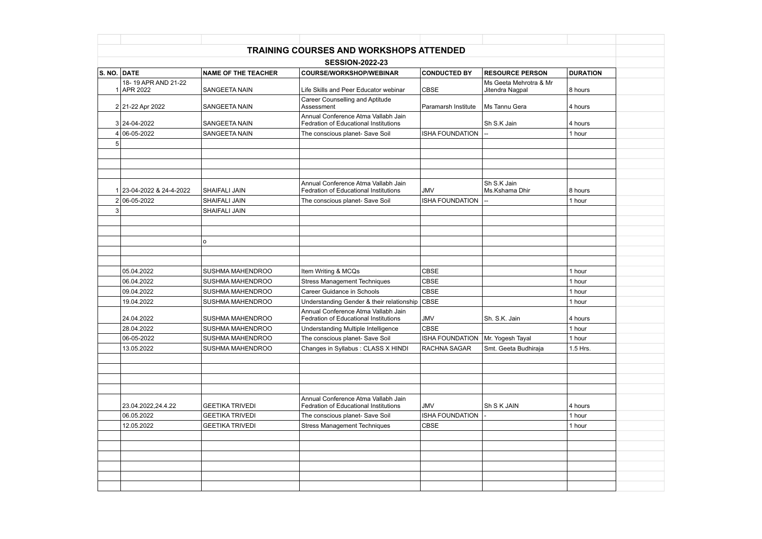|                                 |                            | <b>TRAINING COURSES AND WORKSHOPS ATTENDED</b>                               |                        |                                           |                 |  |  |  |
|---------------------------------|----------------------------|------------------------------------------------------------------------------|------------------------|-------------------------------------------|-----------------|--|--|--|
| <b>SESSION-2022-23</b>          |                            |                                                                              |                        |                                           |                 |  |  |  |
| <b>S. NO. DATE</b>              | <b>NAME OF THE TEACHER</b> | <b>COURSE/WORKSHOP/WEBINAR</b>                                               | <b>CONDUCTED BY</b>    | <b>RESOURCE PERSON</b>                    | <b>DURATION</b> |  |  |  |
| 18-19 APR AND 21-22<br>APR 2022 | <b>SANGEETA NAIN</b>       | Life Skills and Peer Educator webinar                                        | <b>CBSE</b>            | Ms Geeta Mehrotra & Mr<br>Jitendra Nagpal | 8 hours         |  |  |  |
| 2 21-22 Apr 2022                | <b>SANGEETA NAIN</b>       | <b>Career Counselling and Aptitude</b><br>Assessment                         | Paramarsh Institute    | Ms Tannu Gera                             | 4 hours         |  |  |  |
| $3 24-04-2022$                  | <b>SANGEETA NAIN</b>       | Annual Conference Atma Vallabh Jain<br>Fedration of Educational Institutions |                        | Sh S.K Jain                               | 4 hours         |  |  |  |
| 06-05-2022                      | <b>SANGEETA NAIN</b>       | The conscious planet- Save Soil                                              | <b>ISHA FOUNDATION</b> |                                           | 1 hour          |  |  |  |
|                                 |                            |                                                                              |                        |                                           |                 |  |  |  |
|                                 |                            |                                                                              |                        |                                           |                 |  |  |  |
|                                 |                            |                                                                              |                        |                                           |                 |  |  |  |
|                                 |                            |                                                                              |                        |                                           |                 |  |  |  |
| 23-04-2022 & 24-4-2022          | <b>SHAIFALI JAIN</b>       | Annual Conference Atma Vallabh Jain<br>Fedration of Educational Institutions | <b>JMV</b>             | Sh S.K Jain<br>Ms.Kshama Dhir             | 8 hours         |  |  |  |
| 2 06-05-2022                    | <b>SHAIFALI JAIN</b>       | The conscious planet- Save Soil                                              | <b>ISHA FOUNDATION</b> |                                           | 1 hour          |  |  |  |
|                                 | SHAIFALI JAIN              |                                                                              |                        |                                           |                 |  |  |  |
|                                 |                            |                                                                              |                        |                                           |                 |  |  |  |
|                                 |                            |                                                                              |                        |                                           |                 |  |  |  |
|                                 | o                          |                                                                              |                        |                                           |                 |  |  |  |
|                                 |                            |                                                                              |                        |                                           |                 |  |  |  |
|                                 |                            |                                                                              |                        |                                           |                 |  |  |  |
| 05.04.2022                      | SUSHMA MAHENDROO           | Item Writing & MCQs                                                          | <b>CBSE</b>            |                                           | 1 hour          |  |  |  |
| 06.04.2022                      | SUSHMA MAHENDROO           | <b>Stress Management Techniques</b>                                          | <b>CBSE</b>            |                                           | 1 hour          |  |  |  |
| 09.04.2022                      | SUSHMA MAHENDROO           | <b>Career Guidance in Schools</b>                                            | <b>CBSE</b>            |                                           | 1 hour          |  |  |  |
| 19.04.2022                      | SUSHMA MAHENDROO           | Understanding Gender & their relationship CBSE                               |                        |                                           | 1 hour          |  |  |  |
| 24.04.2022                      | <b>SUSHMA MAHENDROO</b>    | Annual Conference Atma Vallabh Jain<br>Fedration of Educational Institutions | JMV                    | Sh. S.K. Jain                             | 4 hours         |  |  |  |
| 28.04.2022                      | SUSHMA MAHENDROO           | Understanding Multiple Intelligence                                          | <b>CBSE</b>            |                                           | 1 hour          |  |  |  |
| 06-05-2022                      | SUSHMA MAHENDROO           | The conscious planet- Save Soil                                              | <b>ISHA FOUNDATION</b> | Mr. Yogesh Tayal                          | 1 hour          |  |  |  |
| 13.05.2022                      | SUSHMA MAHENDROO           | Changes in Syllabus: CLASS X HINDI                                           | RACHNA SAGAR           | Smt. Geeta Budhiraja                      | 1.5 Hrs.        |  |  |  |
|                                 |                            |                                                                              |                        |                                           |                 |  |  |  |
|                                 |                            |                                                                              |                        |                                           |                 |  |  |  |
|                                 |                            |                                                                              |                        |                                           |                 |  |  |  |
|                                 |                            |                                                                              |                        |                                           |                 |  |  |  |
| 23.04.2022,24.4.22              | <b>GEETIKA TRIVEDI</b>     | Annual Conference Atma Vallabh Jain<br>Fedration of Educational Institutions | <b>JMV</b>             | Sh S K JAIN                               | 4 hours         |  |  |  |
| 06.05.2022                      | <b>GEETIKA TRIVEDI</b>     | The conscious planet- Save Soil                                              | <b>ISHA FOUNDATION</b> |                                           | 1 hour          |  |  |  |
| 12.05.2022                      | <b>GEETIKA TRIVEDI</b>     | <b>Stress Management Techniques</b>                                          | <b>CBSE</b>            |                                           | 1 hour          |  |  |  |
|                                 |                            |                                                                              |                        |                                           |                 |  |  |  |
|                                 |                            |                                                                              |                        |                                           |                 |  |  |  |
|                                 |                            |                                                                              |                        |                                           |                 |  |  |  |
|                                 |                            |                                                                              |                        |                                           |                 |  |  |  |
|                                 |                            |                                                                              |                        |                                           |                 |  |  |  |
|                                 |                            |                                                                              |                        |                                           |                 |  |  |  |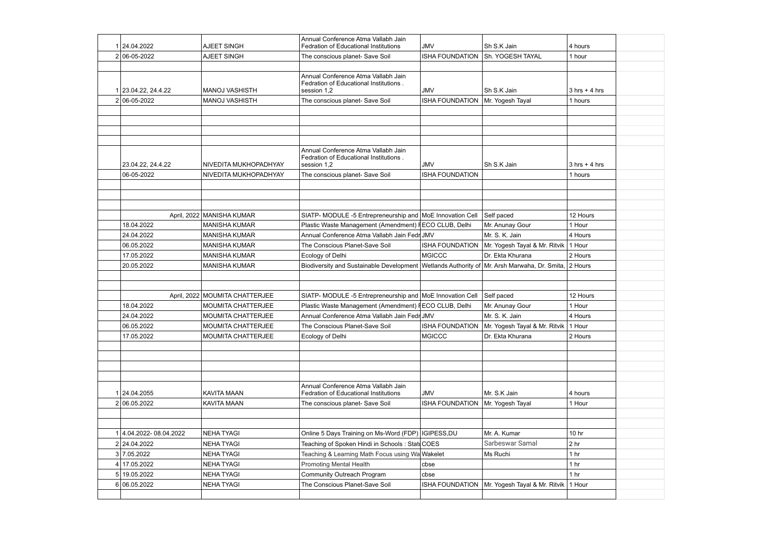|    | 1 24.04.2022         | <b>AJEET SINGH</b>               | Annual Conference Atma Vallabh Jain<br>Fedration of Educational Institutions                    | <b>JMV</b>             | Sh S.K Jain                                              | 4 hours                         |
|----|----------------------|----------------------------------|-------------------------------------------------------------------------------------------------|------------------------|----------------------------------------------------------|---------------------------------|
|    | 2 06-05-2022         | <b>AJEET SINGH</b>               | The conscious planet- Save Soil                                                                 | <b>ISHA FOUNDATION</b> | Sh. YOGESH TAYAL                                         | 1 hour                          |
|    |                      |                                  |                                                                                                 |                        |                                                          |                                 |
|    | 1 23.04.22, 24.4.22  | <b>MANOJ VASHISTH</b>            | Annual Conference Atma Vallabh Jain<br>Fedration of Educational Institutions.<br>session 1,2    | <b>JMV</b>             | Sh S.K Jain                                              | $3 \text{ hrs} + 4 \text{ hrs}$ |
|    | 2 06-05-2022         | MANOJ VASHISTH                   | The conscious planet- Save Soil                                                                 | <b>ISHA FOUNDATION</b> | Mr. Yogesh Tayal                                         | 1 hours                         |
|    |                      |                                  |                                                                                                 |                        |                                                          |                                 |
|    |                      |                                  |                                                                                                 |                        |                                                          |                                 |
|    |                      |                                  |                                                                                                 |                        |                                                          |                                 |
|    |                      |                                  |                                                                                                 |                        |                                                          |                                 |
|    | 23.04.22, 24.4.22    | NIVEDITA MUKHOPADHYAY            | Annual Conference Atma Vallabh Jain<br>Fedration of Educational Institutions.<br>session 1,2    | <b>JMV</b>             | Sh S.K Jain                                              | $3$ hrs + 4 hrs                 |
|    | 06-05-2022           | NIVEDITA MUKHOPADHYAY            | The conscious planet- Save Soil                                                                 | <b>ISHA FOUNDATION</b> |                                                          | 1 hours                         |
|    |                      |                                  |                                                                                                 |                        |                                                          |                                 |
|    |                      |                                  |                                                                                                 |                        |                                                          |                                 |
|    |                      |                                  |                                                                                                 |                        |                                                          |                                 |
|    |                      | April, 2022 MANISHA KUMAR        | SIATP- MODULE -5 Entrepreneurship and MoE Innovation Cell                                       |                        | Self paced                                               | 12 Hours                        |
|    | 18.04.2022           | <b>MANISHA KUMAR</b>             | Plastic Waste Management (Amendment) I ECO CLUB, Delhi                                          |                        | Mr. Anunay Gour                                          | 1 Hour                          |
|    | 24.04.2022           | <b>MANISHA KUMAR</b>             | Annual Conference Atma Vallabh Jain Fedr JMV                                                    |                        | Mr. S. K. Jain                                           | 4 Hours                         |
|    | 06.05.2022           | <b>MANISHA KUMAR</b>             | The Conscious Planet-Save Soil                                                                  | <b>ISHA FOUNDATION</b> | Mr. Yogesh Tayal & Mr. Ritvik                            | 1 Hour                          |
|    | 17.05.2022           | <b>MANISHA KUMAR</b>             | Ecology of Delhi                                                                                | <b>MGICCC</b>          | Dr. Ekta Khurana                                         | 2 Hours                         |
|    | 20.05.2022           | <b>MANISHA KUMAR</b>             | Biodiversity and Sustainable Development   Wetlands Authority of   Mr. Arsh Marwaha, Dr. Smita, |                        |                                                          | 2 Hours                         |
|    |                      |                                  |                                                                                                 |                        |                                                          |                                 |
|    |                      |                                  |                                                                                                 |                        |                                                          |                                 |
|    |                      | April, 2022   MOUMITA CHATTERJEE | SIATP- MODULE -5 Entrepreneurship and   MoE Innovation Cell                                     |                        | Self paced                                               | 12 Hours                        |
|    | 18.04.2022           | <b>MOUMITA CHATTERJEE</b>        | Plastic Waste Management (Amendment) I ECO CLUB, Delhi                                          |                        | Mr. Anunay Gour                                          | 1 Hour                          |
|    | 24.04.2022           | MOUMITA CHATTERJEE               | Annual Conference Atma Vallabh Jain Fedr JMV                                                    |                        | Mr. S. K. Jain                                           | 4 Hours                         |
|    | 06.05.2022           | MOUMITA CHATTERJEE               | The Conscious Planet-Save Soil                                                                  |                        | ISHA FOUNDATION   Mr. Yogesh Tayal & Mr. Ritvik   1 Hour |                                 |
|    | 17.05.2022           | <b>MOUMITA CHATTERJEE</b>        | Ecology of Delhi                                                                                | <b>MGICCC</b>          | Dr. Ekta Khurana                                         | 2 Hours                         |
|    |                      |                                  |                                                                                                 |                        |                                                          |                                 |
|    |                      |                                  |                                                                                                 |                        |                                                          |                                 |
|    |                      |                                  |                                                                                                 |                        |                                                          |                                 |
|    |                      |                                  |                                                                                                 |                        |                                                          |                                 |
|    | 1 24.04.2055         | <b>KAVITA MAAN</b>               | Annual Conference Atma Vallabh Jain<br><b>Fedration of Educational Institutions</b>             | <b>JMV</b>             | Mr. S.K Jain                                             | 4 hours                         |
|    | 2 06.05.2022         | KAVITA MAAN                      | The conscious planet- Save Soil                                                                 | <b>ISHA FOUNDATION</b> | Mr. Yogesh Tayal                                         | 1 Hour                          |
|    |                      |                                  |                                                                                                 |                        |                                                          |                                 |
|    |                      |                                  |                                                                                                 |                        |                                                          |                                 |
|    | 4.04.2022-08.04.2022 | NEHA TYAGI                       | Online 5 Days Training on Ms-Word (FDP)   IGIPESS, DU                                           |                        | Mr. A. Kumar                                             | 10 <sub>hr</sub>                |
|    | 2 24.04.2022         | <b>NEHA TYAGI</b>                | Teaching of Spoken Hindi in Schools: Statt COES                                                 |                        | Sarbeswar Samal                                          | 2 <sub>hr</sub>                 |
|    | 3 7.05.2022          | <b>NEHA TYAGI</b>                | Teaching & Learning Math Focus using Wa Wakelet                                                 |                        | Ms Ruchi                                                 | 1 <sub>hr</sub>                 |
|    | 17.05.2022           | <b>NEHA TYAGI</b>                | <b>Promoting Mental Health</b>                                                                  | cbse                   |                                                          | 1 <sub>hr</sub>                 |
| 51 | 19.05.2022           | <b>NEHA TYAGI</b>                | Community Outreach Program                                                                      | cbse                   |                                                          | 1 <sub>hr</sub>                 |
|    | 6 06.05.2022         | <b>NEHA TYAGI</b>                | The Conscious Planet-Save Soil                                                                  | <b>ISHA FOUNDATION</b> | Mr. Yogesh Tayal & Mr. Ritvik                            | 1 Hour                          |
|    |                      |                                  |                                                                                                 |                        |                                                          |                                 |
|    |                      |                                  |                                                                                                 |                        |                                                          |                                 |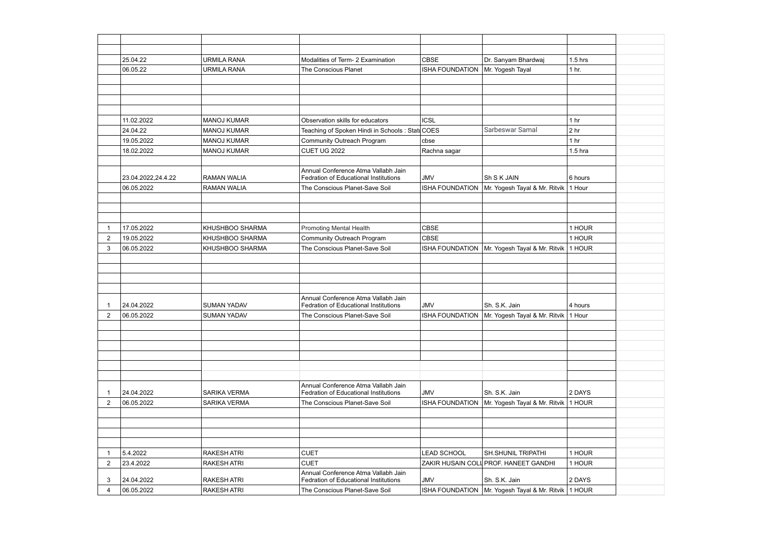|                | 25.04.22           | <b>URMILA RANA</b>  | Modalities of Term- 2 Examination                                                   | <b>CBSE</b>            | Dr. Sanyam Bhardwaj                                      | $1.5$ hrs        |
|----------------|--------------------|---------------------|-------------------------------------------------------------------------------------|------------------------|----------------------------------------------------------|------------------|
|                | 06.05.22           | <b>URMILA RANA</b>  | The Conscious Planet                                                                | <b>ISHA FOUNDATION</b> | Mr. Yogesh Tayal                                         | 1 <sub>hr.</sub> |
|                |                    |                     |                                                                                     |                        |                                                          |                  |
|                |                    |                     |                                                                                     |                        |                                                          |                  |
|                |                    |                     |                                                                                     |                        |                                                          |                  |
|                |                    |                     |                                                                                     |                        |                                                          |                  |
|                | 11.02.2022         | <b>MANOJ KUMAR</b>  | Observation skills for educators                                                    | <b>ICSL</b>            |                                                          | 1 <sub>hr</sub>  |
|                | 24.04.22           | <b>MANOJ KUMAR</b>  | Teaching of Spoken Hindi in Schools: Statt                                          | <b>COES</b>            | Sarbeswar Samal                                          | 2 <sub>hr</sub>  |
|                | 19.05.2022         | <b>MANOJ KUMAR</b>  | Community Outreach Program                                                          | cbse                   |                                                          | 1 <sub>hr</sub>  |
|                | 18.02.2022         | <b>MANOJ KUMAR</b>  | <b>CUET UG 2022</b>                                                                 | Rachna sagar           |                                                          | $1.5$ hra        |
|                |                    |                     |                                                                                     |                        |                                                          |                  |
|                | 23.04.2022,24.4.22 | <b>RAMAN WALIA</b>  | Annual Conference Atma Vallabh Jain<br><b>Fedration of Educational Institutions</b> | <b>JMV</b>             | Sh S K JAIN                                              | 6 hours          |
|                | 06.05.2022         | <b>RAMAN WALIA</b>  | The Conscious Planet-Save Soil                                                      | <b>ISHA FOUNDATION</b> | Mr. Yogesh Tayal & Mr. Ritvik   1 Hour                   |                  |
|                |                    |                     |                                                                                     |                        |                                                          |                  |
|                |                    |                     |                                                                                     |                        |                                                          |                  |
|                |                    |                     |                                                                                     |                        |                                                          |                  |
|                | 17.05.2022         | KHUSHBOO SHARMA     | <b>Promoting Mental Health</b>                                                      | <b>CBSE</b>            |                                                          | 1 HOUR           |
| $\overline{2}$ | 19.05.2022         | KHUSHBOO SHARMA     | Community Outreach Program                                                          | <b>CBSE</b>            |                                                          | 1 HOUR           |
| 3              | 06.05.2022         | KHUSHBOO SHARMA     | The Conscious Planet-Save Soil                                                      | <b>ISHA FOUNDATION</b> | Mr. Yogesh Tayal & Mr. Ritvik   1 HOUR                   |                  |
|                |                    |                     |                                                                                     |                        |                                                          |                  |
|                |                    |                     |                                                                                     |                        |                                                          |                  |
|                |                    |                     |                                                                                     |                        |                                                          |                  |
|                |                    |                     |                                                                                     |                        |                                                          |                  |
|                |                    |                     | Annual Conference Atma Vallabh Jain                                                 |                        |                                                          |                  |
|                | 24.04.2022         | <b>SUMAN YADAV</b>  | <b>Fedration of Educational Institutions</b>                                        | <b>JMV</b>             | Sh. S.K. Jain                                            | 4 hours          |
| $\overline{2}$ | 06.05.2022         | <b>SUMAN YADAV</b>  | The Conscious Planet-Save Soil                                                      |                        | ISHA FOUNDATION   Mr. Yogesh Tayal & Mr. Ritvik   1 Hour |                  |
|                |                    |                     |                                                                                     |                        |                                                          |                  |
|                |                    |                     |                                                                                     |                        |                                                          |                  |
|                |                    |                     |                                                                                     |                        |                                                          |                  |
|                |                    |                     |                                                                                     |                        |                                                          |                  |
|                |                    |                     |                                                                                     |                        |                                                          |                  |
|                |                    |                     |                                                                                     |                        |                                                          |                  |
|                |                    |                     | Annual Conference Atma Vallabh Jain                                                 |                        |                                                          |                  |
|                | 24.04.2022         | <b>SARIKA VERMA</b> | <b>Fedration of Educational Institutions</b>                                        | <b>JMV</b>             | Sh. S.K. Jain                                            | 2 DAYS           |
| 2              | 06.05.2022         | <b>SARIKA VERMA</b> | The Conscious Planet-Save Soil                                                      | <b>ISHA FOUNDATION</b> | Mr. Yogesh Tayal & Mr. Ritvik   1 HOUR                   |                  |
|                |                    |                     |                                                                                     |                        |                                                          |                  |
|                |                    |                     |                                                                                     |                        |                                                          |                  |
|                |                    |                     |                                                                                     |                        |                                                          |                  |
|                |                    |                     |                                                                                     |                        |                                                          |                  |
| -1             | 5.4.2022           | <b>RAKESH ATRI</b>  | <b>CUET</b>                                                                         | <b>LEAD SCHOOL</b>     | <b>SH.SHUNIL TRIPATHI</b>                                | 1 HOUR           |
| $\overline{2}$ | 23.4.2022          | <b>RAKESH ATRI</b>  | <b>CUET</b>                                                                         |                        | ZAKIR HUSAIN COLL PROF. HANEET GANDHI                    | 1 HOUR           |
| 3              | 24.04.2022         | <b>RAKESH ATRI</b>  | Annual Conference Atma Vallabh Jain<br>Fedration of Educational Institutions        | <b>JMV</b>             | Sh. S.K. Jain                                            | 2 DAYS           |
| 4              | 06.05.2022         | <b>RAKESH ATRI</b>  | The Conscious Planet-Save Soil                                                      | <b>ISHA FOUNDATION</b> | Mr. Yogesh Tayal & Mr. Ritvik   1 HOUR                   |                  |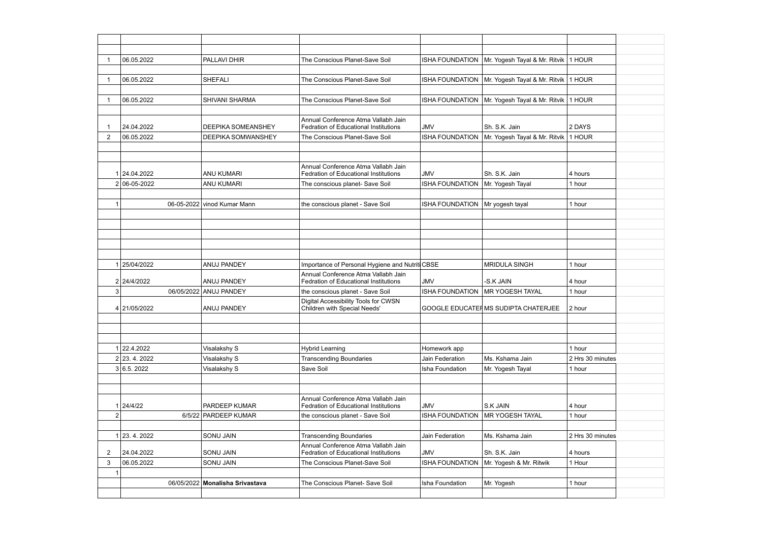|                  | 06.05.2022                 | PALLAVI DHIR                    | The Conscious Planet-Save Soil                                                      | <b>ISHA FOUNDATION</b>          | Mr. Yogesh Tayal & Mr. Ritvik   1 HOUR |                  |  |
|------------------|----------------------------|---------------------------------|-------------------------------------------------------------------------------------|---------------------------------|----------------------------------------|------------------|--|
|                  |                            |                                 |                                                                                     |                                 |                                        |                  |  |
|                  | 06.05.2022                 | <b>SHEFALI</b>                  | The Conscious Planet-Save Soil                                                      | <b>ISHA FOUNDATION</b>          | Mr. Yogesh Tayal & Mr. Ritvik   1 HOUR |                  |  |
|                  |                            |                                 |                                                                                     |                                 |                                        |                  |  |
|                  | 06.05.2022                 | <b>SHIVANI SHARMA</b>           | The Conscious Planet-Save Soil                                                      | <b>ISHA FOUNDATION</b>          | Mr. Yogesh Tayal & Mr. Ritvik   1 HOUR |                  |  |
|                  |                            |                                 |                                                                                     |                                 |                                        |                  |  |
|                  | 24.04.2022                 | <b>DEEPIKA SOMEANSHEY</b>       | Annual Conference Atma Vallabh Jain<br>Fedration of Educational Institutions        | <b>JMV</b>                      | Sh. S.K. Jain                          | 2 DAYS           |  |
| 2                | 06.05.2022                 | <b>DEEPIKA SOMWANSHEY</b>       | The Conscious Planet-Save Soil                                                      | <b>ISHA FOUNDATION</b>          | Mr. Yogesh Tayal & Mr. Ritvik   1 HOUR |                  |  |
|                  |                            |                                 |                                                                                     |                                 |                                        |                  |  |
|                  |                            |                                 |                                                                                     |                                 |                                        |                  |  |
|                  | 1 24.04.2022               | <b>ANU KUMARI</b>               | Annual Conference Atma Vallabh Jain<br><b>Fedration of Educational Institutions</b> | <b>JMV</b>                      | Sh. S.K. Jain                          | 4 hours          |  |
|                  | 2 06-05-2022               | <b>ANU KUMARI</b>               | The conscious planet- Save Soil                                                     | <b>ISHA FOUNDATION</b>          | Mr. Yogesh Tayal                       | 1 hour           |  |
|                  |                            |                                 |                                                                                     |                                 |                                        |                  |  |
| 1                |                            | 06-05-2022 vinod Kumar Mann     | the conscious planet - Save Soil                                                    | <b>ISHA FOUNDATION</b>          | Mr yogesh tayal                        | 1 hour           |  |
|                  |                            |                                 |                                                                                     |                                 |                                        |                  |  |
|                  |                            |                                 |                                                                                     |                                 |                                        |                  |  |
|                  |                            |                                 |                                                                                     |                                 |                                        |                  |  |
|                  |                            |                                 |                                                                                     |                                 |                                        |                  |  |
|                  |                            |                                 |                                                                                     |                                 |                                        |                  |  |
|                  | 25/04/2022                 | ANUJ PANDEY                     | Importance of Personal Hygiene and Nutriti CBSE                                     |                                 | <b>MRIDULA SINGH</b>                   | 1 hour           |  |
|                  | 2 24/4/2022                | ANUJ PANDEY                     | Annual Conference Atma Vallabh Jain<br><b>Fedration of Educational Institutions</b> | <b>JMV</b>                      | -S.K JAIN                              | 4 hour           |  |
| 3                | 06/05/2022                 | <b>ANUJ PANDEY</b>              | the conscious planet - Save Soil                                                    | <b>ISHA FOUNDATION</b>          | MR YOGESH TAYAL                        | 1 hour           |  |
|                  |                            |                                 | Digital Accessibility Tools for CWSN                                                |                                 |                                        |                  |  |
|                  | 4 21/05/2022               | ANUJ PANDEY                     | Children with Special Needs'                                                        |                                 | GOOGLE EDUCATER MS SUDIPTA CHATERJEE   | 2 hour           |  |
|                  |                            |                                 |                                                                                     |                                 |                                        |                  |  |
|                  |                            |                                 |                                                                                     |                                 |                                        |                  |  |
|                  |                            |                                 |                                                                                     |                                 |                                        | 1 hour           |  |
|                  | 1 22.4.2022<br>2 23.4.2022 | Visalakshy S<br>Visalakshy S    | <b>Hybrid Learning</b><br><b>Transcending Boundaries</b>                            | Homework app<br>Jain Federation | Ms. Kshama Jain                        | 2 Hrs 30 minutes |  |
|                  | 3 6.5.2022                 | Visalakshy S                    | Save Soil                                                                           | Isha Foundation                 | Mr. Yogesh Tayal                       | 1 hour           |  |
|                  |                            |                                 |                                                                                     |                                 |                                        |                  |  |
|                  |                            |                                 |                                                                                     |                                 |                                        |                  |  |
|                  |                            |                                 | Annual Conference Atma Vallabh Jain                                                 |                                 |                                        |                  |  |
|                  | 1 24/4/22                  | PARDEEP KUMAR                   | Fedration of Educational Institutions                                               | <b>JMV</b>                      | <b>S.K JAIN</b>                        | 4 hour           |  |
| $\boldsymbol{2}$ |                            | 6/5/22 PARDEEP KUMAR            | the conscious planet - Save Soil                                                    | <b>ISHA FOUNDATION</b>          | <b>MR YOGESH TAYAL</b>                 | 1 hour           |  |
|                  |                            |                                 |                                                                                     |                                 |                                        |                  |  |
|                  | 23.4.2022                  | <b>SONU JAIN</b>                | <b>Transcending Boundaries</b>                                                      | Jain Federation                 | Ms. Kshama Jain                        | 2 Hrs 30 minutes |  |
| 2                | 24.04.2022                 | <b>SONU JAIN</b>                | Annual Conference Atma Vallabh Jain<br>Fedration of Educational Institutions        | <b>JMV</b>                      | Sh. S.K. Jain                          | 4 hours          |  |
| 3                | 06.05.2022                 | <b>SONU JAIN</b>                | The Conscious Planet-Save Soil                                                      | <b>ISHA FOUNDATION</b>          | Mr. Yogesh & Mr. Ritwik                | 1 Hour           |  |
| 1                |                            |                                 |                                                                                     |                                 |                                        |                  |  |
|                  |                            | 06/05/2022 Monalisha Srivastava | The Conscious Planet- Save Soil                                                     | Isha Foundation                 | Mr. Yogesh                             | 1 hour           |  |
|                  |                            |                                 |                                                                                     |                                 |                                        |                  |  |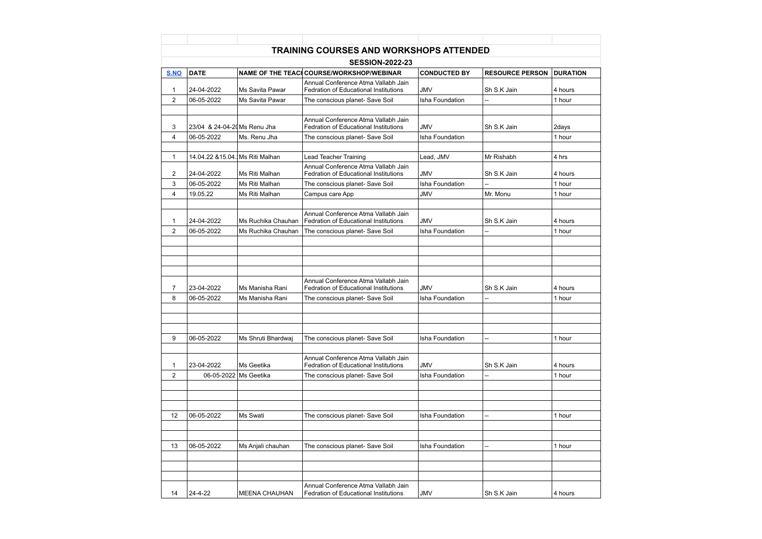|                |                                  |                      | TRAINING COURSES AND WORKSHOPS ATTENDED                                             |                     |                          |                 |
|----------------|----------------------------------|----------------------|-------------------------------------------------------------------------------------|---------------------|--------------------------|-----------------|
|                |                                  |                      | <b>SESSION-2022-23</b>                                                              |                     |                          |                 |
| S.NO           | <b>DATE</b>                      |                      | NAME OF THE TEACH COURSE/WORKSHOP/WEBINAR                                           | <b>CONDUCTED BY</b> | <b>RESOURCE PERSON</b>   | <b>DURATION</b> |
| $\mathbf 1$    | 24-04-2022                       | Ms Savita Pawar      | Annual Conference Atma Vallabh Jain<br><b>Fedration of Educational Institutions</b> | <b>JMV</b>          | Sh S.K Jain              | 4 hours         |
| $\overline{2}$ | 06-05-2022                       | Ms Savita Pawar      | The conscious planet- Save Soil                                                     | Isha Foundation     |                          | 1 hour          |
|                |                                  |                      |                                                                                     |                     |                          |                 |
| 3              | 23/04 & 24-04-20 Ms Renu Jha     |                      | Annual Conference Atma Vallabh Jain<br><b>Fedration of Educational Institutions</b> | <b>JMV</b>          | Sh S.K Jain              | 2days           |
| 4              | 06-05-2022                       | Ms. Renu Jha         | The conscious planet- Save Soil                                                     | Isha Foundation     |                          | 1 hour          |
| $\mathbf{1}$   | 14.04.22 & 15.04. Ms Riti Malhan |                      | <b>Lead Teacher Training</b>                                                        | Lead, JMV           | Mr Rishabh               | 4 hrs           |
|                |                                  |                      | Annual Conference Atma Vallabh Jain                                                 |                     |                          |                 |
| 2              | 24-04-2022                       | Ms Riti Malhan       | <b>Fedration of Educational Institutions</b>                                        | <b>JMV</b>          | Sh S.K Jain              | 4 hours         |
| 3              | 06-05-2022                       | Ms Riti Malhan       | The conscious planet- Save Soil                                                     | Isha Foundation     |                          | 1 hour          |
| 4              | 19.05.22                         | Ms Riti Malhan       | Campus care App                                                                     | <b>JMV</b>          | Mr. Monu                 | 1 hour          |
| -1             | 24-04-2022                       | Ms Ruchika Chauhan   | Annual Conference Atma Vallabh Jain<br>Fedration of Educational Institutions        | <b>JMV</b>          | Sh S.K Jain              | 4 hours         |
| 2              | 06-05-2022                       | Ms Ruchika Chauhan   | The conscious planet- Save Soil                                                     | Isha Foundation     | $\overline{\phantom{a}}$ | 1 hour          |
|                |                                  |                      |                                                                                     |                     |                          |                 |
|                |                                  |                      | Annual Conference Atma Vallabh Jain                                                 |                     |                          |                 |
| $\overline{7}$ | 23-04-2022                       | Ms Manisha Rani      | Fedration of Educational Institutions                                               | <b>JMV</b>          | Sh S.K Jain              | 4 hours         |
| 8              | 06-05-2022                       | Ms Manisha Rani      | The conscious planet- Save Soil                                                     | Isha Foundation     | $\overline{a}$           | 1 hour          |
|                |                                  |                      |                                                                                     |                     |                          |                 |
| 9              | 06-05-2022                       | Ms Shruti Bhardwaj   | The conscious planet- Save Soil                                                     | Isha Foundation     | --                       | 1 hour          |
| $\mathbf{1}$   | 23-04-2022                       | Ms Geetika           | Annual Conference Atma Vallabh Jain<br><b>Fedration of Educational Institutions</b> | <b>JMV</b>          | Sh S.K Jain              | 4 hours         |
| 2              | 06-05-2022                       | Ms Geetika           | The conscious planet- Save Soil                                                     | Isha Foundation     |                          | 1 hour          |
|                |                                  |                      |                                                                                     |                     |                          |                 |
| 12             | 06-05-2022                       | Ms Swati             | The conscious planet- Save Soil                                                     | Isha Foundation     | --                       | 1 hour          |
|                |                                  |                      |                                                                                     |                     |                          |                 |
| 13             | 06-05-2022                       | Ms Anjali chauhan    | The conscious planet- Save Soil                                                     | Isha Foundation     | --                       | 1 hour          |
|                |                                  |                      |                                                                                     |                     |                          |                 |
|                |                                  |                      |                                                                                     |                     |                          |                 |
| 14             | 24-4-22                          | <b>MEENA CHAUHAN</b> | Annual Conference Atma Vallabh Jain<br>Fedration of Educational Institutions        | <b>JMV</b>          | Sh S.K Jain              | 4 hours         |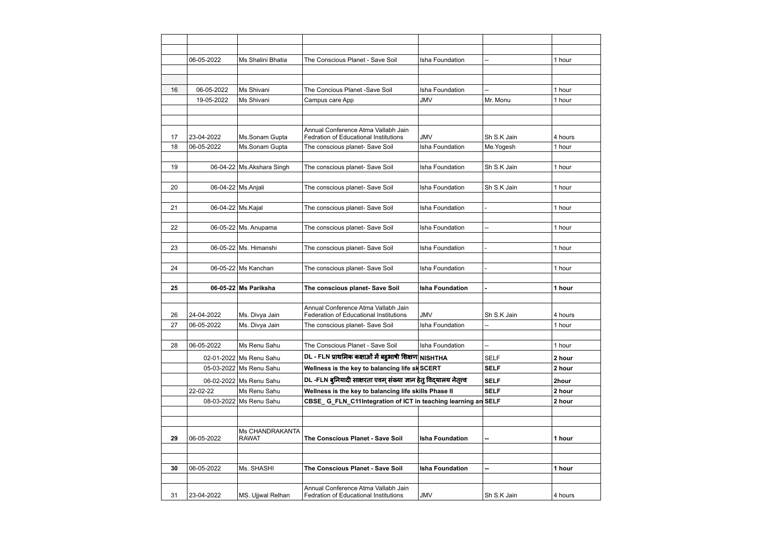|    | 06-05-2022 | Ms Shalini Bhatia          | The Conscious Planet - Save Soil                                   | Isha Foundation               | --             | 1 hour  |
|----|------------|----------------------------|--------------------------------------------------------------------|-------------------------------|----------------|---------|
|    |            |                            |                                                                    |                               |                |         |
|    | 06-05-2022 |                            |                                                                    |                               |                | 1 hour  |
| 16 | 19-05-2022 | Ms Shivani<br>Ms Shivani   | The Concious Planet -Save Soil                                     | Isha Foundation<br><b>JMV</b> | --<br>Mr. Monu |         |
|    |            |                            | Campus care App                                                    |                               |                | 1 hour  |
|    |            |                            |                                                                    |                               |                |         |
|    |            |                            | Annual Conference Atma Vallabh Jain                                |                               |                |         |
| 17 | 23-04-2022 | Ms.Sonam Gupta             | <b>Fedration of Educational Institutions</b>                       | <b>JMV</b>                    | Sh S.K Jain    | 4 hours |
| 18 | 06-05-2022 | Ms.Sonam Gupta             | The conscious planet- Save Soil                                    | Isha Foundation               | Me.Yogesh      | 1 hour  |
|    |            |                            |                                                                    |                               |                |         |
| 19 |            | 06-04-22 Ms. Akshara Singh | The conscious planet- Save Soil                                    | Isha Foundation               | Sh S.K Jain    | 1 hour  |
|    |            |                            |                                                                    |                               |                |         |
| 20 |            | 06-04-22 Ms.Anjali         | The conscious planet- Save Soil                                    | Isha Foundation               | Sh S.K Jain    | 1 hour  |
|    |            |                            |                                                                    |                               |                |         |
| 21 |            | 06-04-22 Ms.Kajal          | The conscious planet- Save Soil                                    | Isha Foundation               | $\overline{a}$ | 1 hour  |
|    |            |                            |                                                                    |                               |                |         |
| 22 |            | 06-05-22 Ms. Anupama       | The conscious planet- Save Soil                                    | Isha Foundation               | --             | 1 hour  |
|    |            |                            |                                                                    |                               |                |         |
| 23 |            | 06-05-22 Ms. Himanshi      | The conscious planet- Save Soil                                    | Isha Foundation               | $\overline{a}$ | 1 hour  |
|    |            |                            |                                                                    |                               |                |         |
| 24 |            | 06-05-22 Ms Kanchan        | The conscious planet- Save Soil                                    | Isha Foundation               |                | 1 hour  |
|    |            |                            |                                                                    |                               |                |         |
| 25 |            | 06-05-22 Ms Pariksha       | The conscious planet- Save Soil                                    | <b>Isha Foundation</b>        |                | 1 hour  |
|    |            |                            | Annual Conference Atma Vallabh Jain                                |                               |                |         |
| 26 | 24-04-2022 | Ms. Divya Jain             | <b>Federation of Educational Institutions</b>                      | <b>JMV</b>                    | Sh S.K Jain    | 4 hours |
| 27 | 06-05-2022 | Ms. Divya Jain             | The conscious planet- Save Soil                                    | Isha Foundation               | --             | 1 hour  |
|    |            |                            |                                                                    |                               |                |         |
| 28 | 06-05-2022 | Ms Renu Sahu               | The Conscious Planet - Save Soil                                   | Isha Foundation               | --             | 1 hour  |
|    |            | 02-01-2022 Ms Renu Sahu    | DL - FLN प्राथमिक कक्षाओं में बहुआषी शिक्षण NISHTHA                |                               | <b>SELF</b>    | 2 hour  |
|    |            | 05-03-2022 Ms Renu Sahu    | Wellness is the key to balancing life sk SCERT                     |                               | <b>SELF</b>    | 2 hour  |
|    |            | 06-02-2022 Ms Renu Sahu    | DL -FLN बुनियादी साक्षरता एवम् संख्या ज्ञान हेतु विदयालय नेतृत्त्व |                               | <b>SELF</b>    | 2hour   |
|    | 22-02-22   | Ms Renu Sahu               | Wellness is the key to balancing life skills Phase II              |                               | <b>SELF</b>    | 2 hour  |
|    |            | 08-03-2022 Ms Renu Sahu    | CBSE_G_FLN_C11Integration of ICT in teaching learning an SELF      |                               |                | 2 hour  |
|    |            |                            |                                                                    |                               |                |         |
|    |            |                            |                                                                    |                               |                |         |
|    |            | Ms CHANDRAKANTA            |                                                                    |                               |                |         |
| 29 | 06-05-2022 | <b>RAWAT</b>               | The Conscious Planet - Save Soil                                   | <b>Isha Foundation</b>        | -−             | 1 hour  |
|    |            |                            |                                                                    |                               |                |         |
|    |            |                            |                                                                    |                               |                |         |
| 30 | 06-05-2022 | Ms. SHASHI                 | The Conscious Planet - Save Soil                                   | <b>Isha Foundation</b>        | --             | 1 hour  |
|    |            |                            | Annual Conference Atma Vallabh Jain                                |                               |                |         |
| 31 | 23-04-2022 | MS. Ujjwal Relhan          | <b>Fedration of Educational Institutions</b>                       | <b>JMV</b>                    | Sh S.K Jain    | 4 hours |
|    |            |                            |                                                                    |                               |                |         |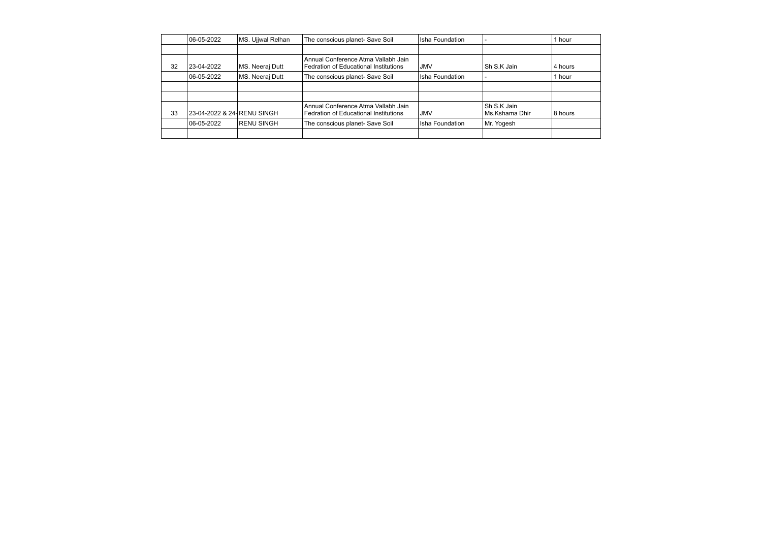|    | $ 06 - 05 - 2022 $          | MS. Ujjwal Relhan  | The conscious planet- Save Soil                                                     | Isha Foundation |                                   | 1 hour  |
|----|-----------------------------|--------------------|-------------------------------------------------------------------------------------|-----------------|-----------------------------------|---------|
|    |                             |                    |                                                                                     |                 |                                   |         |
| 32 | 23-04-2022                  | MS. Neeraj Dutt    | Annual Conference Atma Vallabh Jain<br><b>Fedration of Educational Institutions</b> | JMV             | Sh S.K Jain                       | 4 hours |
|    | $ 06 - 05 - 2022 $          | MS. Neeraj Dutt    | The conscious planet- Save Soil                                                     | Isha Foundation |                                   | l hour  |
|    |                             |                    |                                                                                     |                 |                                   |         |
|    |                             |                    |                                                                                     |                 |                                   |         |
| 33 | 23-04-2022 & 24- RENU SINGH |                    | Annual Conference Atma Vallabh Jain<br><b>Fedration of Educational Institutions</b> | JMV             | l Sh S.K Jain<br>l Ms.Kshama Dhir | 8 hours |
|    | 06-05-2022                  | <b>IRENU SINGH</b> | The conscious planet- Save Soil                                                     | Isha Foundation | Mr. Yogesh                        |         |
|    |                             |                    |                                                                                     |                 |                                   |         |